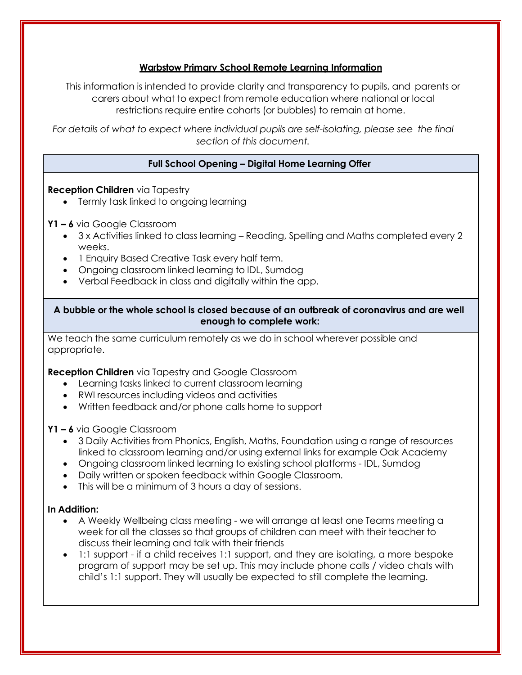## **Warbstow Primary School Remote Learning Information**

This information is intended to provide clarity and transparency to pupils, and parents or carers about what to expect from remote education where national or local restrictions require entire cohorts (or bubbles) to remain at home.

*For details of what to expect where individual pupils are self-isolating, please see the final section of this document.*

# **Full School Opening – Digital Home Learning Offer**

## **Reception Children** via Tapestry

• Termly task linked to ongoing learning

## **Y1 – 6** via Google Classroom

- 3 x Activities linked to class learning Reading, Spelling and Maths completed every 2 weeks.
- 1 Enquiry Based Creative Task every half term.
- Ongoing classroom linked learning to IDL, Sumdog
- Verbal Feedback in class and digitally within the app.

### **A bubble or the whole school is closed because of an outbreak of coronavirus and are well enough to complete work:**

We teach the same curriculum remotely as we do in school wherever possible and appropriate.

**Reception Children** via Tapestry and Google Classroom

- Learning tasks linked to current classroom learning
- RWI resources including videos and activities
- Written feedback and/or phone calls home to support

### **Y1 – 6** via Google Classroom

- 3 Daily Activities from Phonics, English, Maths, Foundation using a range of resources linked to classroom learning and/or using external links for example Oak Academy
- Ongoing classroom linked learning to existing school platforms IDL, Sumdog
- Daily written or spoken feedback within Google Classroom.
- This will be a minimum of 3 hours a day of sessions.

### **In Addition:**

- A Weekly Wellbeing class meeting we will arrange at least one Teams meeting a week for all the classes so that groups of children can meet with their teacher to discuss their learning and talk with their friends
- 1:1 support if a child receives 1:1 support, and they are isolating, a more bespoke program of support may be set up. This may include phone calls / video chats with child's 1:1 support. They will usually be expected to still complete the learning.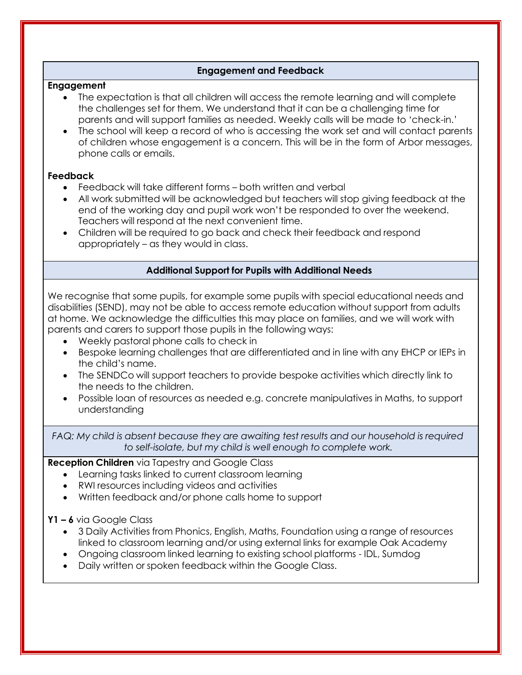## **Engagement and Feedback**

#### **Engagement**

- The expectation is that all children will access the remote learning and will complete the challenges set for them. We understand that it can be a challenging time for parents and will support families as needed. Weekly calls will be made to 'check-in.'
- The school will keep a record of who is accessing the work set and will contact parents of children whose engagement is a concern. This will be in the form of Arbor messages, phone calls or emails.

### **Feedback**

- Feedback will take different forms both written and verbal
- All work submitted will be acknowledged but teachers will stop giving feedback at the end of the working day and pupil work won't be responded to over the weekend. Teachers will respond at the next convenient time.
- Children will be required to go back and check their feedback and respond appropriately – as they would in class.

## **Additional Support for Pupils with Additional Needs**

We recognise that some pupils, for example some pupils with special educational needs and disabilities (SEND), may not be able to access remote education without support from adults at home. We acknowledge the difficulties this may place on families, and we will work with parents and carers to support those pupils in the following ways:

- Weekly pastoral phone calls to check in
- Bespoke learning challenges that are differentiated and in line with any EHCP or IEPs in the child's name.
- The SENDCo will support teachers to provide bespoke activities which directly link to the needs to the children.
- Possible loan of resources as needed e.g. concrete manipulatives in Maths, to support understanding

*FAQ: My child is absent because they are awaiting test results and our household is required to self-isolate, but my child is well enough to complete work.*

## **Reception Children** via Tapestry and Google Class

- Learning tasks linked to current classroom learning
- RWI resources including videos and activities
- Written feedback and/or phone calls home to support

### **Y1 – 6** via Google Class

- 3 Daily Activities from Phonics, English, Maths, Foundation using a range of resources linked to classroom learning and/or using external links for example Oak Academy
- Ongoing classroom linked learning to existing school platforms IDL, Sumdog
- Daily written or spoken feedback within the Google Class.